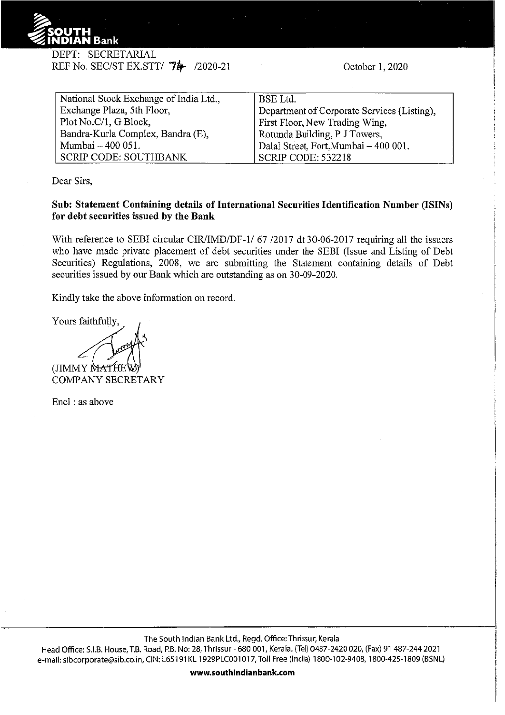

DEPT: SECRETARIAL REF No. SEC/ST EX.STT/ 74 /2020-21

October 1, 2020

| National Stock Exchange of India Ltd., | <b>BSE</b> Ltd.                             |
|----------------------------------------|---------------------------------------------|
| Exchange Plaza, 5th Floor,             | Department of Corporate Services (Listing), |
| Plot No.C/1, G Block,                  | First Floor, New Trading Wing,              |
| Bandra-Kurla Complex, Bandra (E),      | Rotunda Building, P J Towers,               |
| Mumbai - 400 051.                      | Dalal Street, Fort, Mumbai - 400 001.       |
| <b>SCRIP CODE: SOUTHBANK</b>           | <b>SCRIP CODE: 532218</b>                   |

Dear Sirs,

## **Sub: Statement Containing details of International Securities Identification Number (ISINs) for debt securities issued by the Bank**

With reference to SEBI circular CIR/IMD/DF-1/67 /2017 dt 30-06-2017 requiring all the issuers who have made private placement of debt securities under the SEBI (Issue and Listing of Debt Securities) Regulations, 2008, we are submitting the Statement containing details of Debt securities issued by our Bank which are outstanding as on 30-09-2020.

Kindly take the above information on record.

Tours minimizes (JIMMY MAT) COMPANY SECRETARY

Encl : as above

The South Indian Bank Ltd., Regd. Office:Thrissur, Kerala

Head Office: S.I.B. House, T.B. Road, P.B. No: 28, Thrissur- 680 001, Kerala. (Tel) 0487-2420 020, (Fax) 91 487-244 2021 e-mail: sibcorporate@sib.co.in, CIN: L65191 KL 1929PLC001 017, Toll Free (India) 1800-102-9408, 1800-425-1809 (BSNL)

**www.southindianbank.com**